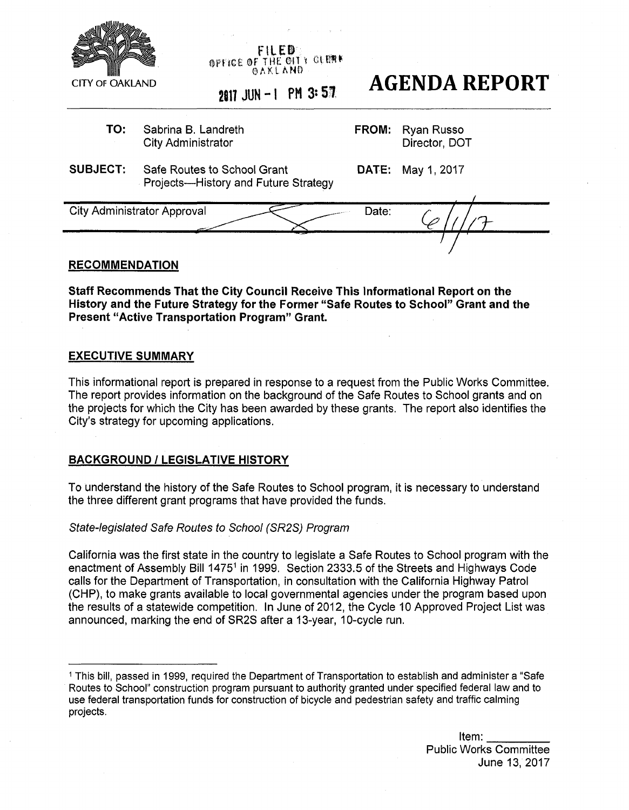

FILED **OFFICE OF THE CITY CLEAN** @ A K L A Nfo

# 2017 JUN-1 PM 3:57 **AGENDA REPORT**

**TO:** Sabrina B. Landreth City Administrator

**FROM:** Ryan Russo Director, DOT

**SUBJECT:** Safe Routes to School Grant Projects—History and Future Strategy **DATE:** May 1, 2017

. */*  City Administrator Approval Date:

## **RECOMMENDATION**

**Staff Recommends That the City Council Receive This Informational Report on the History and the Future Strategy for the Former "Safe Routes to School" Grant and the Present "Active Transportation Program" Grant.** 

## **EXECUTIVE SUMMARY**

This informational report is prepared in response to a request from the Public Works Committee. The report provides information on the background of the Safe Routes to School grants and on the projects for which the City has been awarded by these grants. The report also identifies the City's strategy for upcoming applications.

## **BACKGROUND** *I* **LEGISLATIVE HISTORY**

To understand the history of the Safe Routes to School program, it is necessary to understand the three different grant programs that have provided the funds.

*State-legislated Safe Routes to School (SR2S) Program* 

California was the first state in the country to legislate a Safe Routes to School program with the enactment of Assembly Bill 1475<sup>1</sup> in 1999. Section 2333.5 of the Streets and Highways Code calls for the Department of Transportation, in consultation with the California Highway Patrol (CHP), to make grants available to local governmental agencies under the program based upon the results of a statewide competition. In June of 2012, the Cycle 10 Approved Project List was announced, marking the end of SR2S after a 13-year, 10-cycle run.

<sup>1</sup>This bill, passed in 1999, required the Department of Transportation to establish and administer a "Safe Routes to School" construction program pursuant to authority granted under specified federal law and to use federal transportation funds for construction of bicycle and pedestrian safety and traffic calming projects.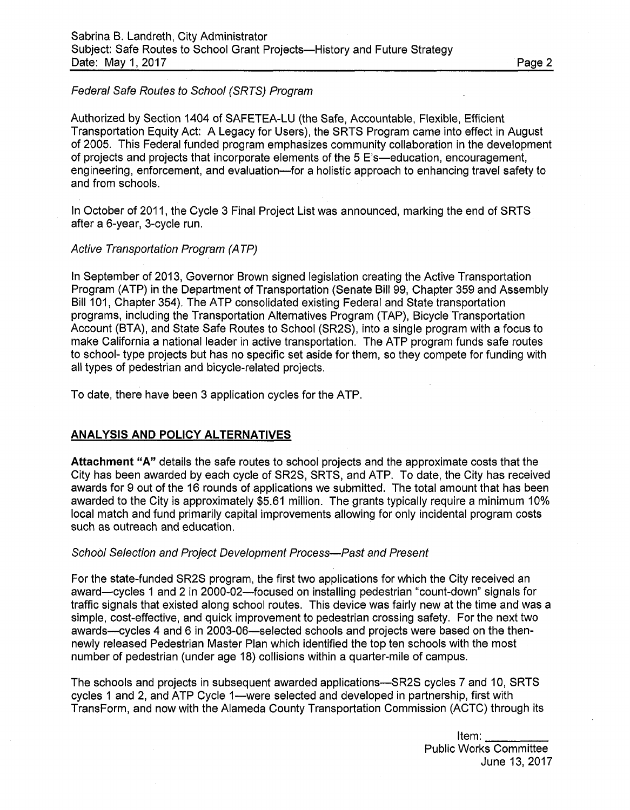#### *Federal Safe Routes to School (SRTS) Program*

Authorized by Section 1404 of SAFETEA-LU (the Safe, Accountable, Flexible, Efficient Transportation Equity Act: A Legacy for Users), the SRTS Program came into effect in August of 2005. This Federal funded program emphasizes community collaboration in the development of projects and projects that incorporate elements of the 5 E's—education, encouragement, engineering, enforcement, and evaluation—for a holistic approach to enhancing travel safety to and from schools.

In October of 2011, the Cycle 3 Final Project List was announced, marking the end of SRTS after a 6-year, 3-cycle run.

#### *Active Transportation Program (ATP)*

In September of 2013, Governor Brown signed legislation creating the Active Transportation Program (ATP) in the Department of Transportation (Senate Bill 99, Chapter 359 and Assembly Bill 101, Chapter 354). The ATP consolidated existing Federal and State transportation programs, including the Transportation Alternatives Program (TAP), Bicycle Transportation Account (BTA), and State Safe Routes to School (SR2S), into a single program with a focus to make California a national leader in active transportation. The ATP program funds safe routes to school- type projects but has no specific set aside for them, so they compete for funding with all types of pedestrian and bicycle-related projects.

To date, there have been 3 application cycles for the ATP.

#### **ANALYSIS AND POLICY ALTERNATIVES**

**Attachment "A"** details the safe routes to school projects and the approximate costs that the City has been awarded by each cycle of SR2S, SRTS, and ATP. To date, the City has received awards for 9 out of the 16 rounds of applications we submitted. The total amount that has been awarded to the City is approximately \$5.61 million. The grants typically require a minimum 10% local match and fund primarily capital improvements allowing for only incidental program costs such as outreach and education.

#### *School Selection and Project Development Process*—*Past and Present*

For the state-funded SR2S program, the first two applications for which the City received an award—cycles 1 and 2 in 2000-02—focused on installing pedestrian "count-down" signals for traffic signals that existed along school routes. This device was fairly new at the time and was a simple, cost-effective, and quick improvement to pedestrian crossing safety. For the next two awards—cycles 4 and 6 in 2003-06—selected schools and projects were based on the thennewly released Pedestrian Master Plan which identified the top ten schools with the most number of pedestrian (under age 18) collisions within a quarter-mile of campus.

The schools and projects in subsequent awarded applications—SR2S cycles 7 and 10, SRTS cycles 1 and 2, and ATP Cycle 1—were selected and developed in partnership, first with TransForm, and now with the Alameda County Transportation Commission (ACTC) through its

> Item: Public Works Committee June 13, 2017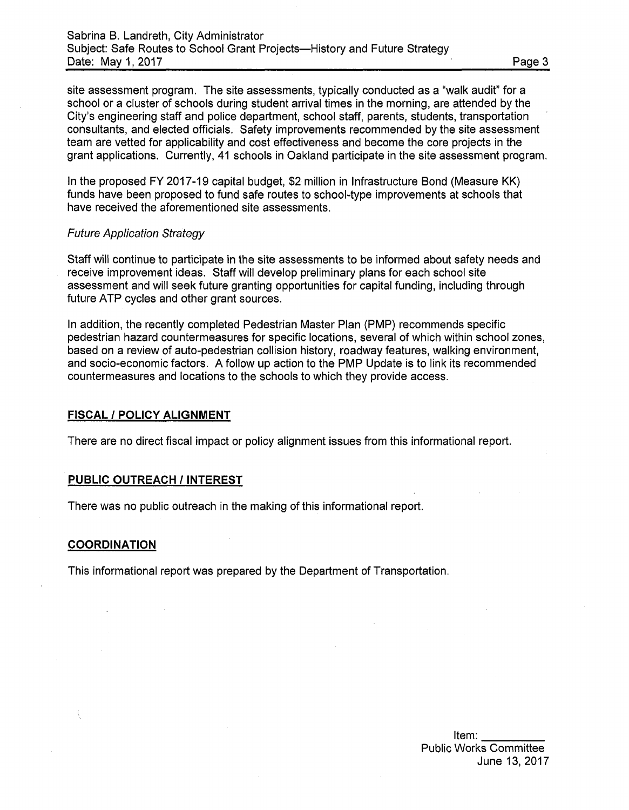site assessment program. The site assessments, typically conducted as a "walk audit" for a school or a cluster of schools during student arrival times in the morning, are attended by the City's engineering staff and police department, school staff, parents, students, transportation consultants, and elected officials. Safety improvements recommended by the site assessment team are vetted for applicability and cost effectiveness and become the core projects in the grant applications. Currently, 41 schools in Oakland participate in the site assessment program.

In the proposed FY 2017-19 capital budget, \$2 million in Infrastructure Bond (Measure KK) funds have been proposed to fund safe routes to school-type improvements at schools that have received the aforementioned site assessments.

#### *Future Application Strategy*

Staff will continue to participate in the site assessments to be informed about safety needs and receive improvement ideas. Staff will develop preliminary plans for each school site assessment and will seek future granting opportunities for capital funding, including through future ATP cycles and other grant sources.

In addition, the recently completed Pedestrian Master Plan (PMP) recommends specific pedestrian hazard countermeasures for specific locations, several of which within school zones, based on a review of auto-pedestrian collision history, roadway features, walking environment, and socio-economic factors. A follow up action to the PMP Update is to link its recommended countermeasures and locations to the schools to which they provide access.

#### **FISCAL** *I* **POLICY ALIGNMENT**

There are no direct fiscal impact or policy alignment issues from this informational report.

#### **PUBLIC OUTREACH** *I* **INTEREST**

There was no public outreach in the making of this informational report.

#### **COORDINATION**

This informational report was prepared by the Department of Transportation.

Item: Public Works Committee June 13, 2017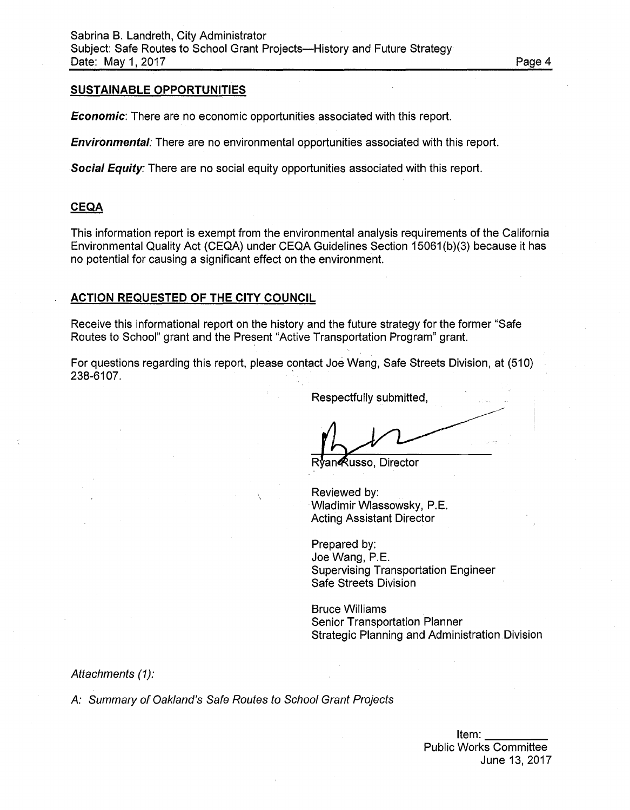#### **SUSTAINABLE OPPORTUNITIES**

*Economic*: There are no economic opportunities associated with this report.

*Environmental:* There are no environmental opportunities associated with this report.

*Social Equity:* There are no social equity opportunities associated with this report.

#### **CEQA**

This information report is exempt from the environmental analysis requirements of the California Environmental Quality Act (CEQA) under CEQA Guidelines Section 15061(b)(3) because it has no potential for causing a significant effect on the environment.

#### **ACTION REQUESTED OF THE CITY COUNCIL**

Receive this informational report on the history and the future strategy for the former "Safe Routes to School" grant and the Present "Active Transportation Program" grant.

For questions regarding this report, please contact Joe Wang, Safe Streets Division, at (510) 238-6107.

Respectfully submitted,

Rvan**@usso**, Director

Reviewed by: Wladimir Wlassowsky, P.E. Acting Assistant Director

Prepared by: Joe Wang, P.E. Supervising Transportation Engineer Safe Streets Division

Bruce Williams Senior Transportation Planner Strategic Planning and Administration Division

*Attachments (1):* 

*A: Summary of Oakland's Safe Routes to School Grant Projects* 

June 13, 2017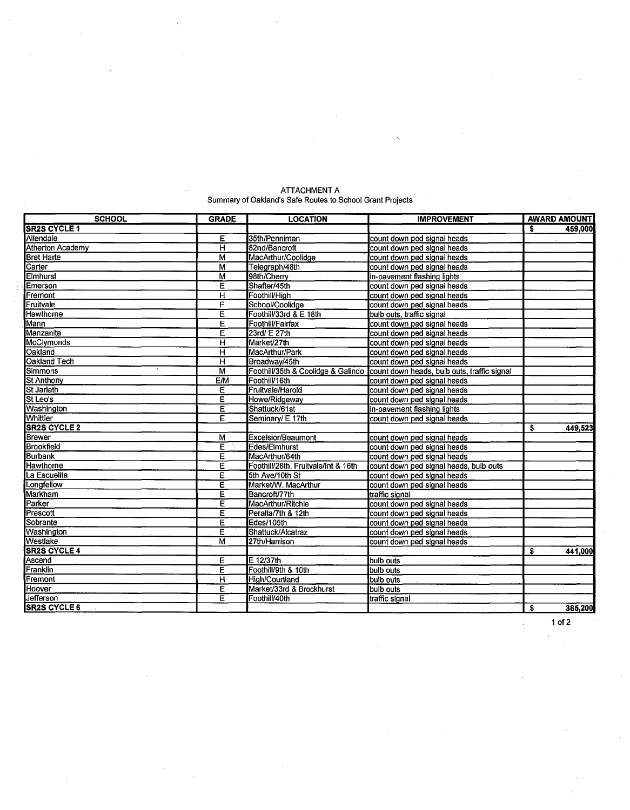| <b>SCHOOL</b>           | <b>GRADE</b>            | <b>LOCATION</b>                     | <b>IMPROVEMENT</b>                          | <b>AWARD AMOUNT</b> |
|-------------------------|-------------------------|-------------------------------------|---------------------------------------------|---------------------|
| <b>SR2S CYCLE 1</b>     |                         |                                     |                                             | \$.<br>459,000      |
| Allendale               | Е                       | 35th/Penniman                       | count down ped signal heads                 |                     |
| <b>Atherton Academy</b> | $\overline{\mathsf{H}}$ | 82nd/Bancroft                       | count down ped signal heads                 |                     |
| <b>Bret Harte</b>       | M                       | MacArthur/Coolidge                  | count down ped signal heads                 |                     |
| Carter                  | M                       | Telegraph/48th                      | count down ped signal heads                 |                     |
| <b>Elmhurst</b>         | M                       | 98th/Cherry                         | in-pavement flashing lights                 |                     |
| Emerson                 | Ε                       | Shafter/45th                        | count down ped signal heads                 |                     |
| Fremont                 | $\overline{\mathsf{H}}$ | Foothill/High                       | count down ped signal heads                 |                     |
| Fruitvale               | Ē                       | School/Coolidge                     | count down ped signal heads                 |                     |
| <b>Hawthorne</b>        | E                       | Foothill/33rd & E 18th              | bulb outs, traffic signal                   |                     |
| Mann                    | Ε                       | Foothill/Fairfax                    | count down ped signal heads                 |                     |
| Manzanita               | Е                       | 23rd/ E 27th                        | count down ped signal heads                 |                     |
| <b>McClymonds</b>       | н                       | Market/27th                         | count down ped signal heads                 |                     |
| Oakland                 | $\overline{\mathsf{H}}$ | MacArthur/Park                      | count down ped signal heads                 |                     |
| Oakland Tech            | н                       | Broadway/45th                       | count down ped signal heads                 |                     |
| Simmons                 | M                       | Foothill/35th & Coolidge & Galindo  | count down heads, bulb outs, traffic signal |                     |
| <b>St Anthony</b>       | E/M                     | Foothill/16th                       | count down ped signal heads                 |                     |
| St Jarlath              | Ē                       | Fruitvale/Harold                    | count down ped signal heads                 |                     |
| St Leo's                | Ë                       | Howe/Ridgeway                       | count down ped signal heads                 |                     |
| <b>Washington</b>       | Ε                       | Shattuck/61st                       | in-pavement flashing lights                 |                     |
| <b>Whittier</b>         | E                       | Seminary/ E 17th                    | count down ped signal heads                 |                     |
| <b>SR2S CYCLE 2</b>     |                         |                                     |                                             | 449,523<br>\$       |
| Brewer                  | M                       | Excelsior/Beaumont                  | count down ped signal heads                 |                     |
| <b>Brookfield</b>       | E                       | Edes/Elmhurst                       | count down ped signal heads                 |                     |
| <b>Burbank</b>          | E                       | MacArthur/64th                      | count down ped signal heads                 |                     |
| <b>Hawthorne</b>        | Έ                       | Foothill/28th, Fruitvale/Int & 16th | count down ped signal heads, bulb outs      |                     |
| La Escuelita            | Ε                       | 5th Ave/10th St                     | count down ped signal heads                 |                     |
| Longfellow              | E                       | Market/W. MacArthur                 | count down ped signal heads                 |                     |
| <b>Markham</b>          | Е                       | Bancroft/77th                       | traffic signal                              |                     |
| Parker                  | E                       | MacArthur/Ritchie                   | count down ped signal heads                 |                     |
| Prescott                | Ε                       | Peralta/7th & 12th                  | count down ped signal heads                 |                     |
| Sobrante                | E                       | Edes/105th                          | count down ped signal heads                 |                     |
| Washington              | Ė                       | Shattuck/Alcatraz                   | count down ped signal heads                 |                     |
| Westlake                | М                       | 27th/Harrison                       | count down ped signal heads                 |                     |
| <b>SR2S CYCLE 4</b>     |                         |                                     |                                             | \$<br>441,000       |
| Ascend                  | Έ                       | $E$ 12/37th                         | bulb outs                                   |                     |
| Franklin                | $\overline{\mathsf{E}}$ | Foothill/9th & 10th                 | bulb outs                                   |                     |
| Fremont                 | н                       | <b>High/Courtland</b>               | bulb outs                                   |                     |
| Hoover                  | E                       | Market/33rd & Brockhurst            | bulb outs                                   |                     |
| Jefferson               | Ē                       | Foothill/40th                       | traffic signal                              |                     |
| <b>SR2S CYCLE 6</b>     |                         |                                     |                                             | s<br>385,200        |

#### ATTACHMENT A Summary of Oakland's Safe Routes to School Grant Projects

**1 of 2**